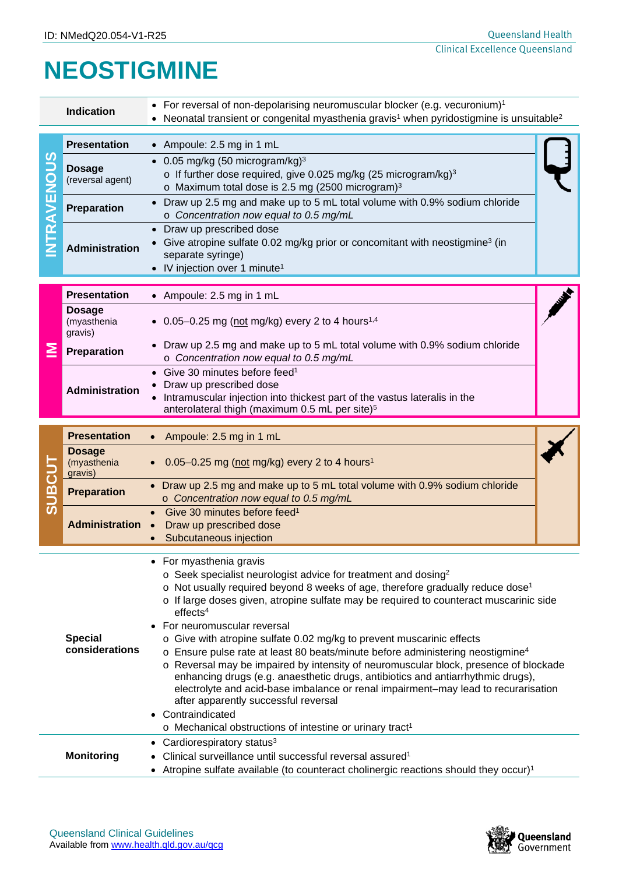## **NEOSTIGMINE**

| <b>Indication</b>                   |                                         | For reversal of non-depolarising neuromuscular blocker (e.g. vecuronium) <sup>1</sup><br>$\bullet$<br>Neonatal transient or congenital myasthenia gravis <sup>1</sup> when pyridostigmine is unsuitable <sup>2</sup>                                                                                                                                                                                                                                                                                                                                                                                                                                                                                                                                                                                                                                                                                                                             |  |  |  |
|-------------------------------------|-----------------------------------------|--------------------------------------------------------------------------------------------------------------------------------------------------------------------------------------------------------------------------------------------------------------------------------------------------------------------------------------------------------------------------------------------------------------------------------------------------------------------------------------------------------------------------------------------------------------------------------------------------------------------------------------------------------------------------------------------------------------------------------------------------------------------------------------------------------------------------------------------------------------------------------------------------------------------------------------------------|--|--|--|
| <u>9၁</u><br>C<br>乙山<br><b>TRAV</b> | <b>Presentation</b>                     | • Ampoule: 2.5 mg in 1 mL                                                                                                                                                                                                                                                                                                                                                                                                                                                                                                                                                                                                                                                                                                                                                                                                                                                                                                                        |  |  |  |
|                                     | <b>Dosage</b><br>(reversal agent)       | 0.05 mg/kg (50 microgram/kg) $3$<br>o If further dose required, give 0.025 mg/kg (25 microgram/kg) <sup>3</sup><br>o Maximum total dose is 2.5 mg (2500 microgram) <sup>3</sup>                                                                                                                                                                                                                                                                                                                                                                                                                                                                                                                                                                                                                                                                                                                                                                  |  |  |  |
|                                     | Preparation                             | Draw up 2.5 mg and make up to 5 mL total volume with 0.9% sodium chloride<br>o Concentration now equal to 0.5 mg/mL                                                                                                                                                                                                                                                                                                                                                                                                                                                                                                                                                                                                                                                                                                                                                                                                                              |  |  |  |
|                                     | Administration                          | Draw up prescribed dose<br>$\bullet$<br>Give atropine sulfate 0.02 mg/kg prior or concomitant with neostigmine <sup>3</sup> (in<br>separate syringe)<br>• IV injection over 1 minute <sup>1</sup>                                                                                                                                                                                                                                                                                                                                                                                                                                                                                                                                                                                                                                                                                                                                                |  |  |  |
| ≧                                   | <b>Presentation</b>                     | • Ampoule: 2.5 mg in 1 mL                                                                                                                                                                                                                                                                                                                                                                                                                                                                                                                                                                                                                                                                                                                                                                                                                                                                                                                        |  |  |  |
|                                     | <b>Dosage</b><br>(myasthenia<br>gravis) | • 0.05-0.25 mg (not mg/kg) every 2 to 4 hours <sup>1,4</sup>                                                                                                                                                                                                                                                                                                                                                                                                                                                                                                                                                                                                                                                                                                                                                                                                                                                                                     |  |  |  |
|                                     | Preparation                             | • Draw up 2.5 mg and make up to 5 mL total volume with 0.9% sodium chloride<br>o Concentration now equal to 0.5 mg/mL                                                                                                                                                                                                                                                                                                                                                                                                                                                                                                                                                                                                                                                                                                                                                                                                                            |  |  |  |
|                                     | <b>Administration</b>                   | • Give 30 minutes before feed <sup>1</sup><br>Draw up prescribed dose<br>Intramuscular injection into thickest part of the vastus lateralis in the<br>anterolateral thigh (maximum 0.5 mL per site) <sup>5</sup>                                                                                                                                                                                                                                                                                                                                                                                                                                                                                                                                                                                                                                                                                                                                 |  |  |  |
| <b>SUBCUT</b>                       | <b>Presentation</b>                     | Ampoule: 2.5 mg in 1 mL                                                                                                                                                                                                                                                                                                                                                                                                                                                                                                                                                                                                                                                                                                                                                                                                                                                                                                                          |  |  |  |
|                                     | <b>Dosage</b><br>(myasthenia<br>gravis) | $0.05 - 0.25$ mg (not mg/kg) every 2 to 4 hours <sup>1</sup>                                                                                                                                                                                                                                                                                                                                                                                                                                                                                                                                                                                                                                                                                                                                                                                                                                                                                     |  |  |  |
|                                     | <b>Preparation</b>                      | Draw up 2.5 mg and make up to 5 mL total volume with 0.9% sodium chloride<br>o Concentration now equal to 0.5 mg/mL                                                                                                                                                                                                                                                                                                                                                                                                                                                                                                                                                                                                                                                                                                                                                                                                                              |  |  |  |
|                                     | <b>Administration</b>                   | Give 30 minutes before feed <sup>1</sup><br>Draw up prescribed dose<br>$\bullet$<br>Subcutaneous injection                                                                                                                                                                                                                                                                                                                                                                                                                                                                                                                                                                                                                                                                                                                                                                                                                                       |  |  |  |
| <b>Special</b><br>considerations    |                                         | • For myasthenia gravis<br>$\circ$ Seek specialist neurologist advice for treatment and dosing <sup>2</sup><br>$\circ$ Not usually required beyond 8 weeks of age, therefore gradually reduce dose <sup>1</sup><br>o If large doses given, atropine sulfate may be required to counteract muscarinic side<br>effects <sup>4</sup><br>For neuromuscular reversal<br>o Give with atropine sulfate 0.02 mg/kg to prevent muscarinic effects<br>$\circ$ Ensure pulse rate at least 80 beats/minute before administering neostigmine <sup>4</sup><br>o Reversal may be impaired by intensity of neuromuscular block, presence of blockade<br>enhancing drugs (e.g. anaesthetic drugs, antibiotics and antiarrhythmic drugs),<br>electrolyte and acid-base imbalance or renal impairment-may lead to recurarisation<br>after apparently successful reversal<br>Contraindicated<br>o Mechanical obstructions of intestine or urinary tract <sup>1</sup> |  |  |  |
| <b>Monitoring</b>                   |                                         | Cardiorespiratory status <sup>3</sup><br>٠<br>Clinical surveillance until successful reversal assured <sup>1</sup><br>Atropine sulfate available (to counteract cholinergic reactions should they occur) <sup>1</sup>                                                                                                                                                                                                                                                                                                                                                                                                                                                                                                                                                                                                                                                                                                                            |  |  |  |